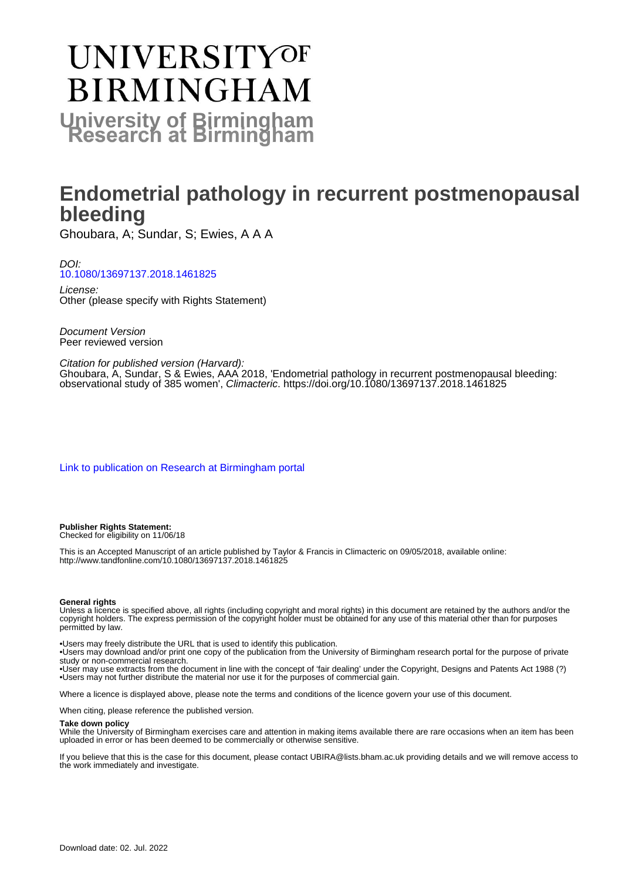# **UNIVERSITYOF BIRMINGHAM University of Birmingham**

## **Endometrial pathology in recurrent postmenopausal bleeding**

Ghoubara, A; Sundar, S; Ewies, A A A

DOI: [10.1080/13697137.2018.1461825](https://doi.org/10.1080/13697137.2018.1461825)

License: Other (please specify with Rights Statement)

Document Version Peer reviewed version

#### Citation for published version (Harvard):

Ghoubara, A, Sundar, S & Ewies, AAA 2018, 'Endometrial pathology in recurrent postmenopausal bleeding: observational study of 385 women', Climacteric.<https://doi.org/10.1080/13697137.2018.1461825>

[Link to publication on Research at Birmingham portal](https://birmingham.elsevierpure.com/en/publications/12c6d66c-21f6-47d1-a44a-3422177ea702)

#### **Publisher Rights Statement:**

Checked for eligibility on 11/06/18

This is an Accepted Manuscript of an article published by Taylor & Francis in Climacteric on 09/05/2018, available online: http://www.tandfonline.com/10.1080/13697137.2018.1461825

#### **General rights**

Unless a licence is specified above, all rights (including copyright and moral rights) in this document are retained by the authors and/or the copyright holders. The express permission of the copyright holder must be obtained for any use of this material other than for purposes permitted by law.

• Users may freely distribute the URL that is used to identify this publication.

• Users may download and/or print one copy of the publication from the University of Birmingham research portal for the purpose of private study or non-commercial research.

• User may use extracts from the document in line with the concept of 'fair dealing' under the Copyright, Designs and Patents Act 1988 (?) • Users may not further distribute the material nor use it for the purposes of commercial gain.

Where a licence is displayed above, please note the terms and conditions of the licence govern your use of this document.

When citing, please reference the published version.

#### **Take down policy**

While the University of Birmingham exercises care and attention in making items available there are rare occasions when an item has been uploaded in error or has been deemed to be commercially or otherwise sensitive.

If you believe that this is the case for this document, please contact UBIRA@lists.bham.ac.uk providing details and we will remove access to the work immediately and investigate.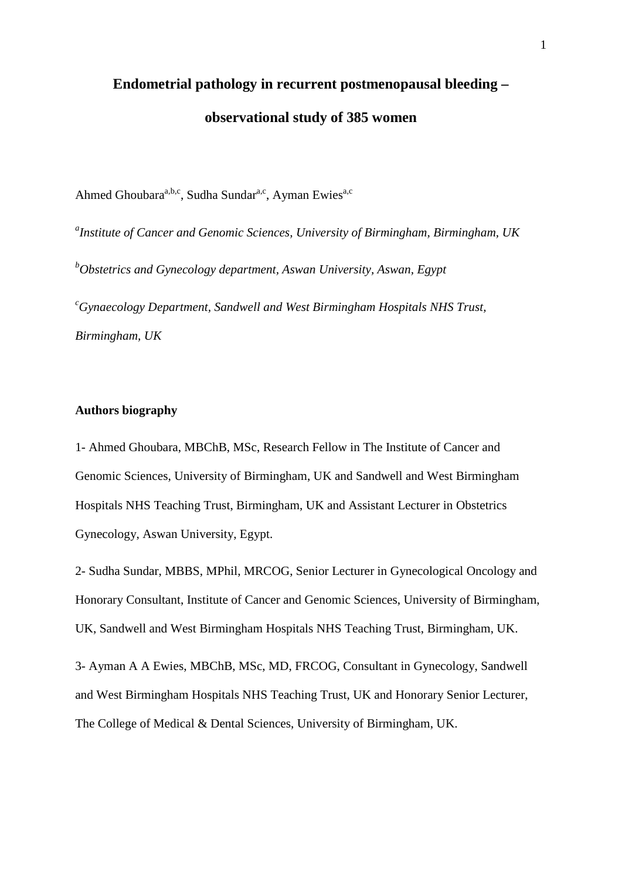## **Endometrial pathology in recurrent postmenopausal bleeding – observational study of 385 women**

Ahmed Ghoubara<sup>a,b,c</sup>, Sudha Sundar<sup>a,c</sup>, Ayman Ewies<sup>a,c</sup>

*a Institute of Cancer and Genomic Sciences, University of Birmingham, Birmingham, UK b Obstetrics and Gynecology department, Aswan University, Aswan, Egypt c Gynaecology Department, Sandwell and West Birmingham Hospitals NHS Trust, Birmingham, UK*

## **Authors biography**

1- Ahmed Ghoubara, MBChB, MSc, Research Fellow in The Institute of Cancer and Genomic Sciences, University of Birmingham, UK and Sandwell and West Birmingham Hospitals NHS Teaching Trust, Birmingham, UK and Assistant Lecturer in Obstetrics Gynecology, Aswan University, Egypt.

2- Sudha Sundar, MBBS, MPhil, MRCOG, Senior Lecturer in Gynecological Oncology and Honorary Consultant, Institute of Cancer and Genomic Sciences, University of Birmingham, UK, Sandwell and West Birmingham Hospitals NHS Teaching Trust, Birmingham, UK.

3- Ayman A A Ewies, MBChB, MSc, MD, FRCOG, Consultant in Gynecology, Sandwell and West Birmingham Hospitals NHS Teaching Trust, UK and Honorary Senior Lecturer, The College of Medical & Dental Sciences, University of Birmingham, UK.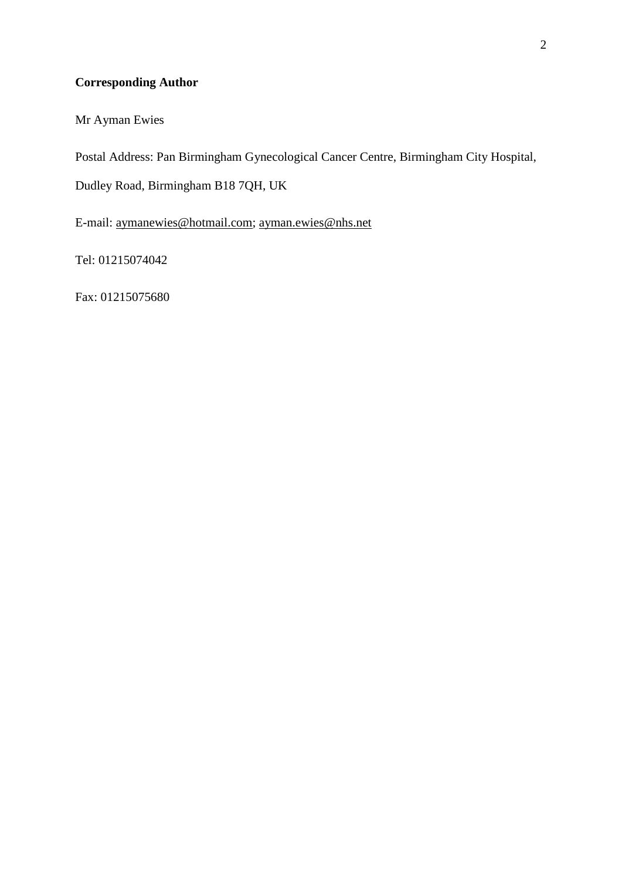## **Corresponding Author**

Mr Ayman Ewies

Postal Address: Pan Birmingham Gynecological Cancer Centre, Birmingham City Hospital,

Dudley Road, Birmingham B18 7QH, UK

E-mail: [aymanewies@hotmail.com;](mailto:aymanewies@hotmail.com) [ayman.ewies@nhs.net](mailto:ayman.ewies@nhs.net)

Tel: 01215074042

Fax: 01215075680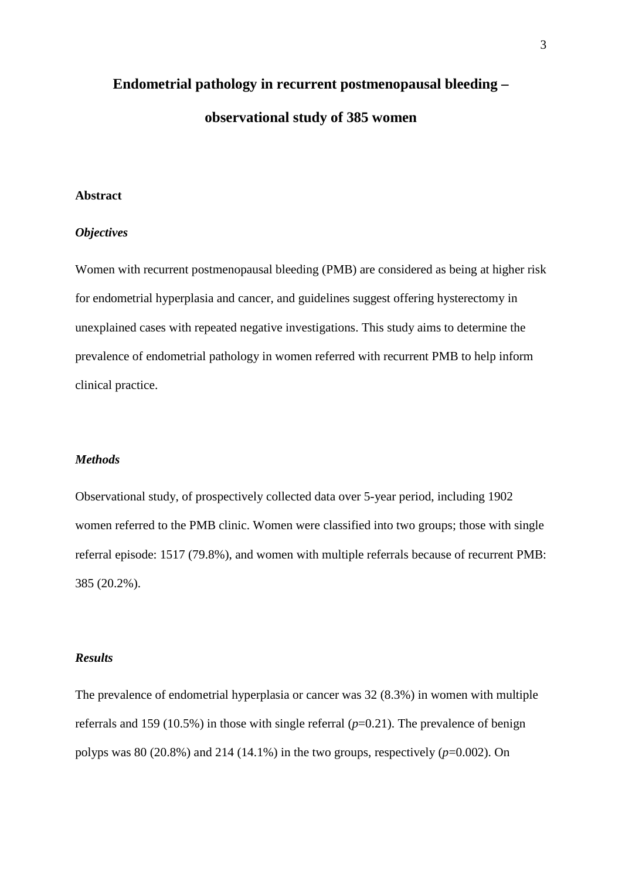## **Endometrial pathology in recurrent postmenopausal bleeding – observational study of 385 women**

## **Abstract**

### *Objectives*

Women with recurrent postmenopausal bleeding (PMB) are considered as being at higher risk for endometrial hyperplasia and cancer, and guidelines suggest offering hysterectomy in unexplained cases with repeated negative investigations. This study aims to determine the prevalence of endometrial pathology in women referred with recurrent PMB to help inform clinical practice.

### *Methods*

Observational study, of prospectively collected data over 5-year period, including 1902 women referred to the PMB clinic. Women were classified into two groups; those with single referral episode: 1517 (79.8%), and women with multiple referrals because of recurrent PMB: 385 (20.2%).

## *Results*

The prevalence of endometrial hyperplasia or cancer was 32 (8.3%) in women with multiple referrals and 159 (10.5%) in those with single referral (*p*=0.21). The prevalence of benign polyps was 80 (20.8%) and 214 (14.1%) in the two groups, respectively  $(p=0.002)$ . On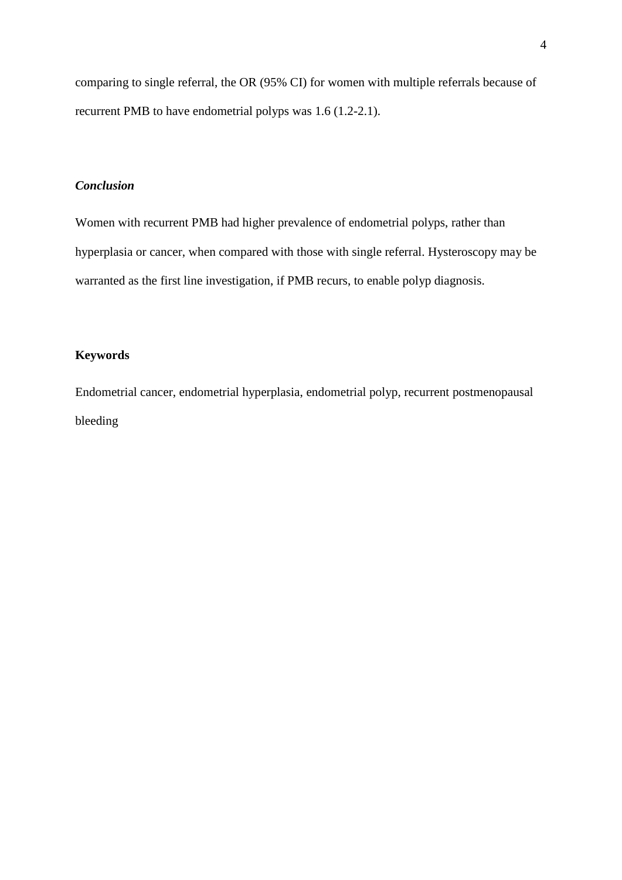comparing to single referral, the OR (95% CI) for women with multiple referrals because of recurrent PMB to have endometrial polyps was 1.6 (1.2-2.1).

## *Conclusion*

Women with recurrent PMB had higher prevalence of endometrial polyps, rather than hyperplasia or cancer, when compared with those with single referral. Hysteroscopy may be warranted as the first line investigation, if PMB recurs, to enable polyp diagnosis.

## **Keywords**

Endometrial cancer, endometrial hyperplasia, endometrial polyp, recurrent postmenopausal bleeding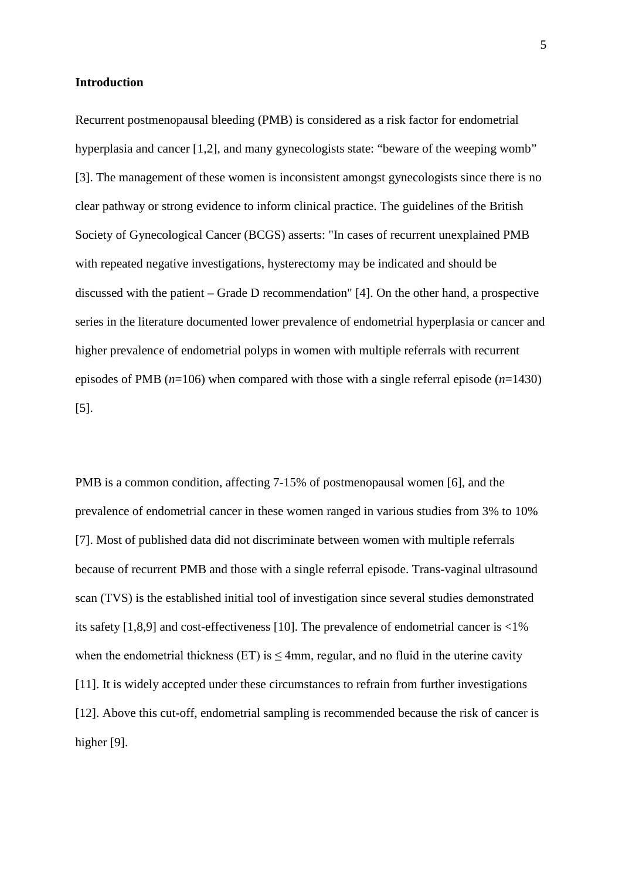### **Introduction**

Recurrent postmenopausal bleeding (PMB) is considered as a risk factor for endometrial hyperplasia and cancer [\[1](#page-21-0)[,2\]](#page-21-1), and many gynecologists state: "beware of the weeping womb" [\[3\]](#page-21-2). The management of these women is inconsistent amongst gynecologists since there is no clear pathway or strong evidence to inform clinical practice. The guidelines of the British Society of Gynecological Cancer (BCGS) asserts: "In cases of recurrent unexplained PMB with repeated negative investigations, hysterectomy may be indicated and should be discussed with the patient – Grade D recommendation" [\[4\]](#page-21-3). On the other hand, a prospective series in the literature documented lower prevalence of endometrial hyperplasia or cancer and higher prevalence of endometrial polyps in women with multiple referrals with recurrent episodes of PMB (*n*=106) when compared with those with a single referral episode (*n*=1430) [\[5\]](#page-21-4).

PMB is a common condition, affecting 7-15% of postmenopausal women [\[6\]](#page-21-5), and the prevalence of endometrial cancer in these women ranged in various studies from 3% to 10% [\[7\]](#page-21-6). Most of published data did not discriminate between women with multiple referrals because of recurrent PMB and those with a single referral episode. Trans-vaginal ultrasound scan (TVS) is the established initial tool of investigation since several studies demonstrated its safety [\[1,](#page-21-0)[8,](#page-22-0)[9\]](#page-22-1) and cost-effectiveness [\[10\]](#page-22-2). The prevalence of endometrial cancer is <1% when the endometrial thickness (ET) is  $\leq$ 4mm, regular, and no fluid in the uterine cavity [\[11\]](#page-22-3). It is widely accepted under these circumstances to refrain from further investigations [\[12\]](#page-22-4). Above this cut-off, endometrial sampling is recommended because the risk of cancer is higher [\[9\]](#page-22-1).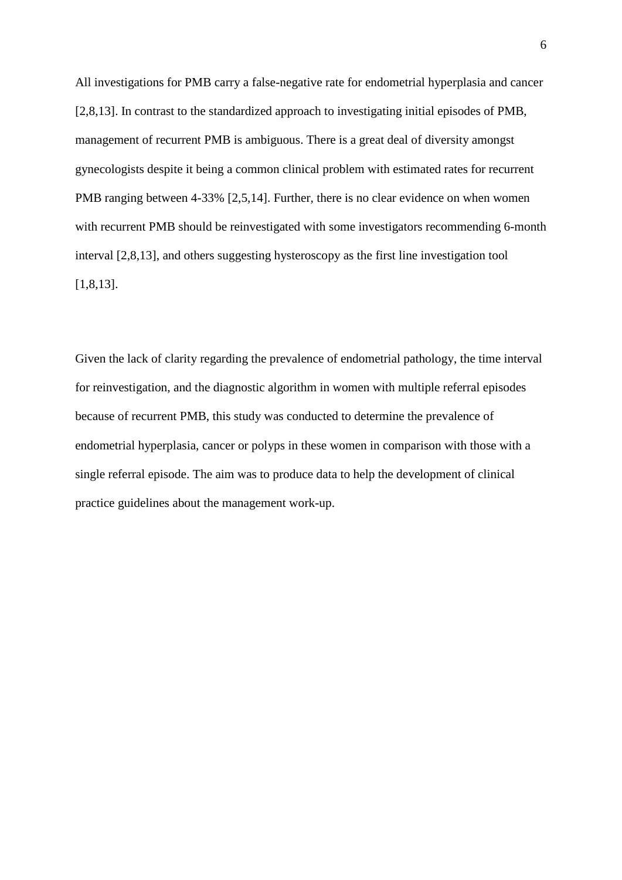All investigations for PMB carry a false-negative rate for endometrial hyperplasia and cancer [\[2](#page-21-1)[,8](#page-22-0)[,13\]](#page-22-5). In contrast to the standardized approach to investigating initial episodes of PMB, management of recurrent PMB is ambiguous. There is a great deal of diversity amongst gynecologists despite it being a common clinical problem with estimated rates for recurrent PMB ranging between 4-33% [\[2](#page-21-1)[,5](#page-21-4)[,14\]](#page-23-0). Further, there is no clear evidence on when women with recurrent PMB should be reinvestigated with some investigators recommending 6-month interval [\[2](#page-21-1)[,8](#page-22-0)[,13\]](#page-22-5), and others suggesting hysteroscopy as the first line investigation tool [\[1](#page-21-0)[,8](#page-22-0)[,13\]](#page-22-5).

Given the lack of clarity regarding the prevalence of endometrial pathology, the time interval for reinvestigation, and the diagnostic algorithm in women with multiple referral episodes because of recurrent PMB, this study was conducted to determine the prevalence of endometrial hyperplasia, cancer or polyps in these women in comparison with those with a single referral episode. The aim was to produce data to help the development of clinical practice guidelines about the management work-up.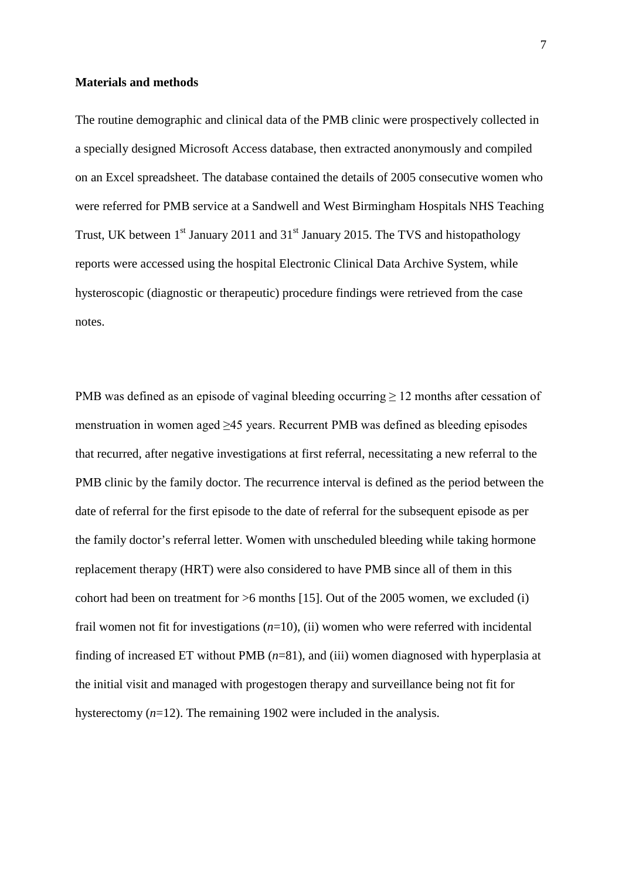### **Materials and methods**

The routine demographic and clinical data of the PMB clinic were prospectively collected in a specially designed Microsoft Access database, then extracted anonymously and compiled on an Excel spreadsheet. The database contained the details of 2005 consecutive women who were referred for PMB service at a Sandwell and West Birmingham Hospitals NHS Teaching Trust, UK between  $1<sup>st</sup>$  January 2011 and  $31<sup>st</sup>$  January 2015. The TVS and histopathology reports were accessed using the hospital Electronic Clinical Data Archive System, while hysteroscopic (diagnostic or therapeutic) procedure findings were retrieved from the case notes.

PMB was defined as an episode of vaginal bleeding occurring  $\geq 12$  months after cessation of menstruation in women aged ≥45 years. Recurrent PMB was defined as bleeding episodes that recurred, after negative investigations at first referral, necessitating a new referral to the PMB clinic by the family doctor. The recurrence interval is defined as the period between the date of referral for the first episode to the date of referral for the subsequent episode as per the family doctor's referral letter. Women with unscheduled bleeding while taking hormone replacement therapy (HRT) were also considered to have PMB since all of them in this cohort had been on treatment for  $>6$  months [\[15\]](#page-23-1). Out of the 2005 women, we excluded (i) frail women not fit for investigations (*n*=10), (ii) women who were referred with incidental finding of increased ET without PMB (*n*=81), and (iii) women diagnosed with hyperplasia at the initial visit and managed with progestogen therapy and surveillance being not fit for hysterectomy (*n*=12). The remaining 1902 were included in the analysis.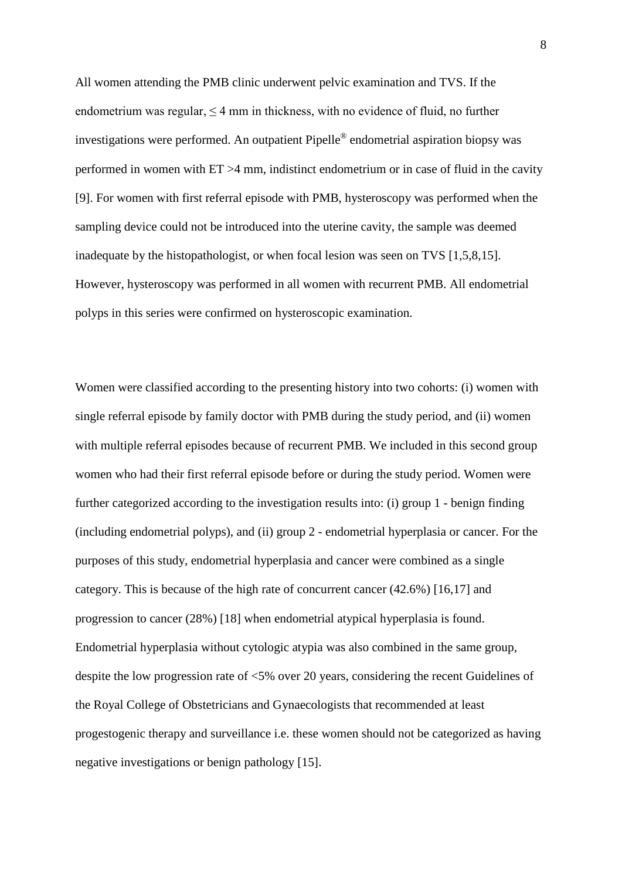All women attending the PMB clinic underwent pelvic examination and TVS. If the endometrium was regular, <4 mm in thickness, with no evidence of fluid, no further investigations were performed. An outpatient Pipelle® endometrial aspiration biopsy was performed in women with ET >4 mm, indistinct endometrium or in case of fluid in the cavity [\[9\]](#page-22-1). For women with first referral episode with PMB, hysteroscopy was performed when the sampling device could not be introduced into the uterine cavity, the sample was deemed inadequate by the histopathologist, or when focal lesion was seen on TVS [\[1](#page-21-0)[,5](#page-21-4)[,8](#page-22-0)[,15\]](#page-23-1). However, hysteroscopy was performed in all women with recurrent PMB. All endometrial polyps in this series were confirmed on hysteroscopic examination.

Women were classified according to the presenting history into two cohorts: (i) women with single referral episode by family doctor with PMB during the study period, and (ii) women with multiple referral episodes because of recurrent PMB. We included in this second group women who had their first referral episode before or during the study period. Women were further categorized according to the investigation results into: (i) group 1 - benign finding (including endometrial polyps), and (ii) group 2 - endometrial hyperplasia or cancer. For the purposes of this study, endometrial hyperplasia and cancer were combined as a single category. This is because of the high rate of concurrent cancer (42.6%) [\[16](#page-23-2)[,17\]](#page-23-3) and progression to cancer (28%) [\[18\]](#page-23-4) when endometrial atypical hyperplasia is found. Endometrial hyperplasia without cytologic atypia was also combined in the same group, despite the low progression rate of <5% over 20 years, considering the recent Guidelines of the Royal College of Obstetricians and Gynaecologists that recommended at least progestogenic therapy and surveillance i.e. these women should not be categorized as having negative investigations or benign pathology [\[15\]](#page-23-1).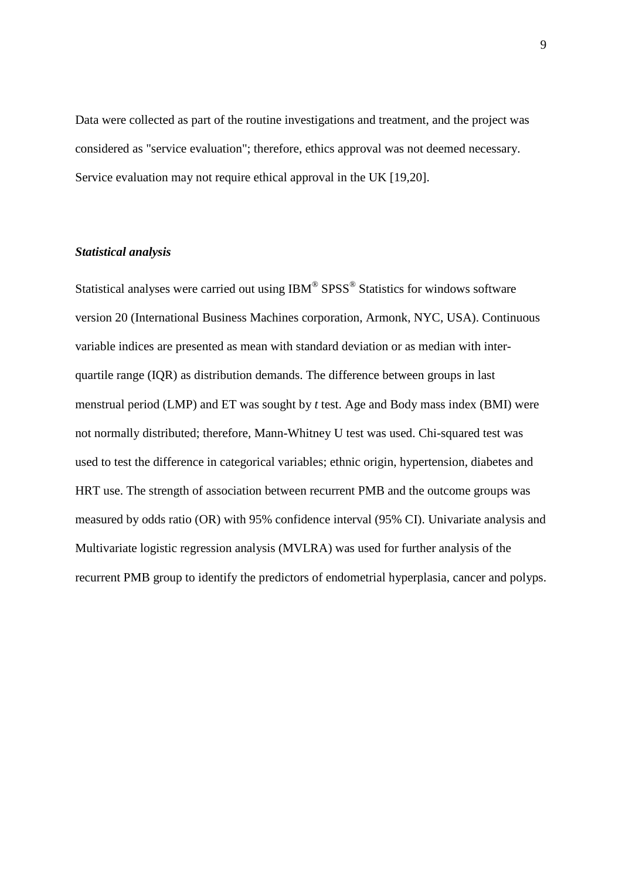Data were collected as part of the routine investigations and treatment, and the project was considered as "service evaluation"; therefore, ethics approval was not deemed necessary. Service evaluation may not require ethical approval in the UK [\[19](#page-23-5)[,20\]](#page-23-6).

## *Statistical analysis*

Statistical analyses were carried out using IBM® SPSS<sup>®</sup> Statistics for windows software version 20 (International Business Machines corporation, Armonk, NYC, USA). Continuous variable indices are presented as mean with standard deviation or as median with interquartile range (IQR) as distribution demands. The difference between groups in last menstrual period (LMP) and ET was sought by *t* test. Age and Body mass index (BMI) were not normally distributed; therefore, Mann-Whitney U test was used. Chi-squared test was used to test the difference in categorical variables; ethnic origin, hypertension, diabetes and HRT use. The strength of association between recurrent PMB and the outcome groups was measured by odds ratio (OR) with 95% confidence interval (95% CI). Univariate analysis and Multivariate logistic regression analysis (MVLRA) was used for further analysis of the recurrent PMB group to identify the predictors of endometrial hyperplasia, cancer and polyps.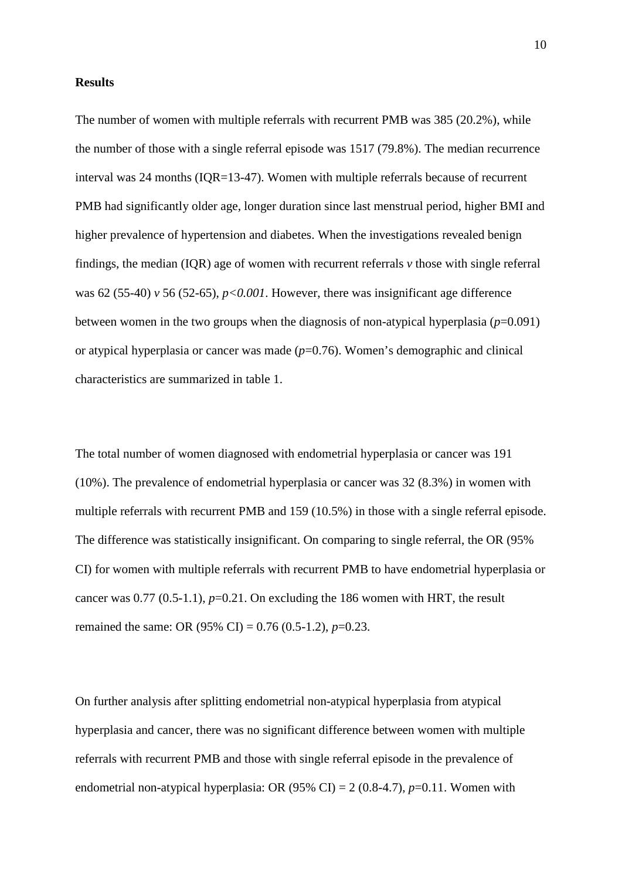#### **Results**

The number of women with multiple referrals with recurrent PMB was 385 (20.2%), while the number of those with a single referral episode was 1517 (79.8%). The median recurrence interval was 24 months (IQR=13-47). Women with multiple referrals because of recurrent PMB had significantly older age, longer duration since last menstrual period, higher BMI and higher prevalence of hypertension and diabetes. When the investigations revealed benign findings, the median (IQR) age of women with recurrent referrals *v* those with single referral was 62 (55-40) *v* 56 (52-65), *p<0.001*. However, there was insignificant age difference between women in the two groups when the diagnosis of non-atypical hyperplasia  $(p=0.091)$ or atypical hyperplasia or cancer was made (*p*=0.76). Women's demographic and clinical characteristics are summarized in table 1.

The total number of women diagnosed with endometrial hyperplasia or cancer was 191 (10%). The prevalence of endometrial hyperplasia or cancer was 32 (8.3%) in women with multiple referrals with recurrent PMB and 159 (10.5%) in those with a single referral episode. The difference was statistically insignificant. On comparing to single referral, the OR (95% CI) for women with multiple referrals with recurrent PMB to have endometrial hyperplasia or cancer was  $0.77$   $(0.5-1.1)$ ,  $p=0.21$ . On excluding the 186 women with HRT, the result remained the same: OR (95% CI) = 0.76 (0.5-1.2), *p*=0.23.

On further analysis after splitting endometrial non-atypical hyperplasia from atypical hyperplasia and cancer, there was no significant difference between women with multiple referrals with recurrent PMB and those with single referral episode in the prevalence of endometrial non-atypical hyperplasia: OR  $(95\% \text{ CI}) = 2 (0.8-4.7), p=0.11$ . Women with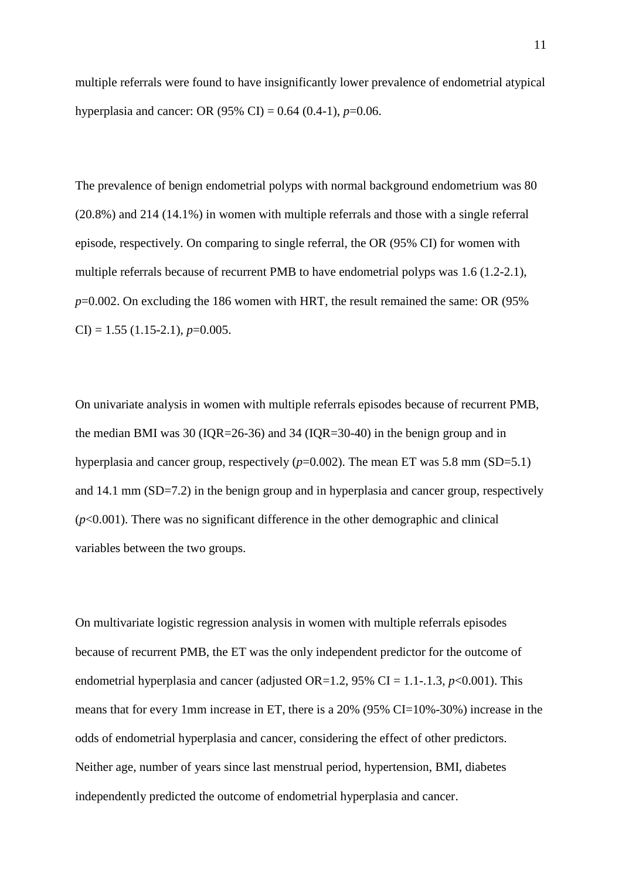multiple referrals were found to have insignificantly lower prevalence of endometrial atypical hyperplasia and cancer: OR (95% CI) =  $0.64$  (0.4-1), *p*=0.06.

The prevalence of benign endometrial polyps with normal background endometrium was 80 (20.8%) and 214 (14.1%) in women with multiple referrals and those with a single referral episode, respectively. On comparing to single referral, the OR (95% CI) for women with multiple referrals because of recurrent PMB to have endometrial polyps was 1.6 (1.2-2.1), *p*=0.002. On excluding the 186 women with HRT, the result remained the same: OR (95%  $CI$ ) = 1.55 (1.15-2.1), *p*=0.005.

On univariate analysis in women with multiple referrals episodes because of recurrent PMB, the median BMI was 30 (IQR=26-36) and 34 (IQR=30-40) in the benign group and in hyperplasia and cancer group, respectively ( $p=0.002$ ). The mean ET was 5.8 mm (SD=5.1) and 14.1 mm (SD=7.2) in the benign group and in hyperplasia and cancer group, respectively  $(p<0.001)$ . There was no significant difference in the other demographic and clinical variables between the two groups.

On multivariate logistic regression analysis in women with multiple referrals episodes because of recurrent PMB, the ET was the only independent predictor for the outcome of endometrial hyperplasia and cancer (adjusted OR=1.2,  $95\%$  CI = 1.1-.1.3,  $p<0.001$ ). This means that for every 1mm increase in ET, there is a 20% (95% CI=10%-30%) increase in the odds of endometrial hyperplasia and cancer, considering the effect of other predictors. Neither age, number of years since last menstrual period, hypertension, BMI, diabetes independently predicted the outcome of endometrial hyperplasia and cancer.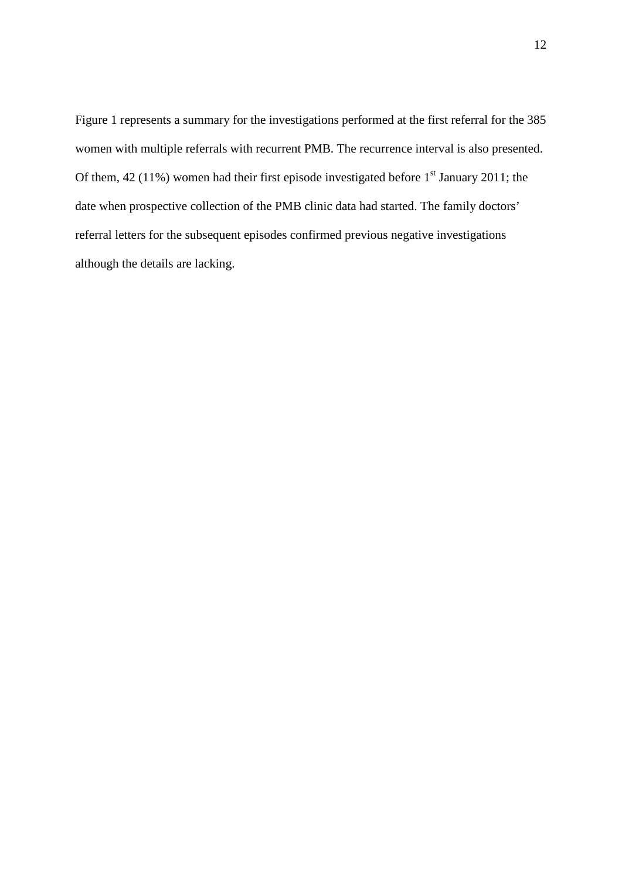Figure 1 represents a summary for the investigations performed at the first referral for the 385 women with multiple referrals with recurrent PMB. The recurrence interval is also presented. Of them,  $42$  (11%) women had their first episode investigated before  $1<sup>st</sup>$  January 2011; the date when prospective collection of the PMB clinic data had started. The family doctors' referral letters for the subsequent episodes confirmed previous negative investigations although the details are lacking.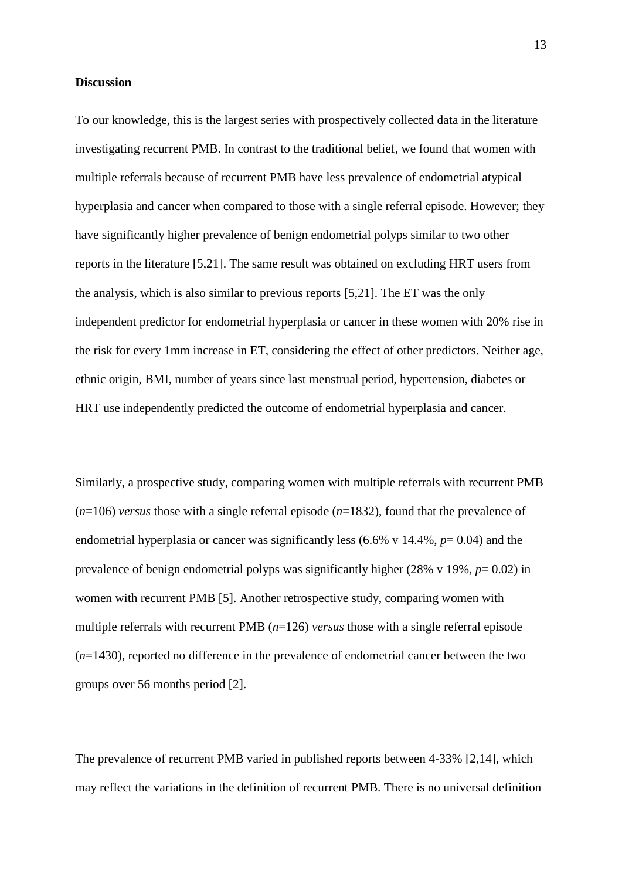#### **Discussion**

To our knowledge, this is the largest series with prospectively collected data in the literature investigating recurrent PMB. In contrast to the traditional belief, we found that women with multiple referrals because of recurrent PMB have less prevalence of endometrial atypical hyperplasia and cancer when compared to those with a single referral episode. However; they have significantly higher prevalence of benign endometrial polyps similar to two other reports in the literature [\[5](#page-21-4)[,21\]](#page-23-7). The same result was obtained on excluding HRT users from the analysis, which is also similar to previous reports [\[5,](#page-21-4)[21\]](#page-23-7). The ET was the only independent predictor for endometrial hyperplasia or cancer in these women with 20% rise in the risk for every 1mm increase in ET, considering the effect of other predictors. Neither age, ethnic origin, BMI, number of years since last menstrual period, hypertension, diabetes or HRT use independently predicted the outcome of endometrial hyperplasia and cancer.

Similarly, a prospective study, comparing women with multiple referrals with recurrent PMB  $(n=106)$  *versus* those with a single referral episode  $(n=1832)$ , found that the prevalence of endometrial hyperplasia or cancer was significantly less (6.6% v 14.4%, *p*= 0.04) and the prevalence of benign endometrial polyps was significantly higher (28% v 19%, *p*= 0.02) in women with recurrent PMB [\[5\]](#page-21-4). Another retrospective study, comparing women with multiple referrals with recurrent PMB (*n*=126) *versus* those with a single referral episode (*n*=1430), reported no difference in the prevalence of endometrial cancer between the two groups over 56 months period [2].

The prevalence of recurrent PMB varied in published reports between 4-33% [\[2](#page-21-1)[,14\]](#page-23-0), which may reflect the variations in the definition of recurrent PMB. There is no universal definition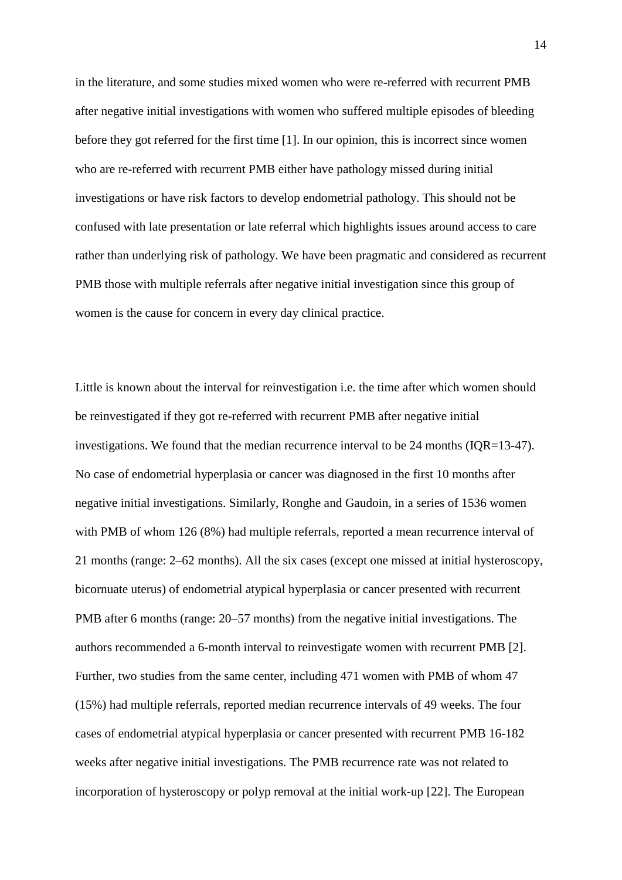in the literature, and some studies mixed women who were re-referred with recurrent PMB after negative initial investigations with women who suffered multiple episodes of bleeding before they got referred for the first time [\[1\]](#page-21-0). In our opinion, this is incorrect since women who are re-referred with recurrent PMB either have pathology missed during initial investigations or have risk factors to develop endometrial pathology. This should not be confused with late presentation or late referral which highlights issues around access to care rather than underlying risk of pathology. We have been pragmatic and considered as recurrent PMB those with multiple referrals after negative initial investigation since this group of women is the cause for concern in every day clinical practice.

Little is known about the interval for reinvestigation i.e. the time after which women should be reinvestigated if they got re-referred with recurrent PMB after negative initial investigations. We found that the median recurrence interval to be 24 months (IQR=13-47). No case of endometrial hyperplasia or cancer was diagnosed in the first 10 months after negative initial investigations. Similarly, Ronghe and Gaudoin, in a series of 1536 women with PMB of whom 126 (8%) had multiple referrals, reported a mean recurrence interval of 21 months (range: 2–62 months). All the six cases (except one missed at initial hysteroscopy, bicornuate uterus) of endometrial atypical hyperplasia or cancer presented with recurrent PMB after 6 months (range: 20–57 months) from the negative initial investigations. The authors recommended a 6-month interval to reinvestigate women with recurrent PMB [\[2\]](#page-21-1). Further, two studies from the same center, including 471 women with PMB of whom 47 (15%) had multiple referrals, reported median recurrence intervals of 49 weeks. The four cases of endometrial atypical hyperplasia or cancer presented with recurrent PMB 16-182 weeks after negative initial investigations. The PMB recurrence rate was not related to incorporation of hysteroscopy or polyp removal at the initial work-up [\[22\]](#page-24-0). The European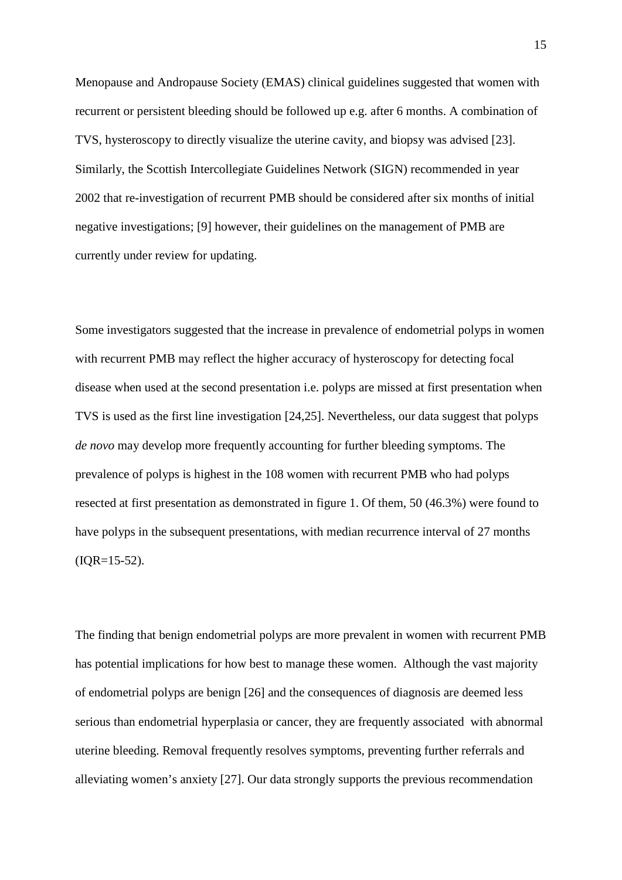Menopause and Andropause Society (EMAS) clinical guidelines suggested that women with recurrent or persistent bleeding should be followed up e.g. after 6 months. A combination of TVS, hysteroscopy to directly visualize the uterine cavity, and biopsy was advised [\[23\]](#page-24-1). Similarly, the Scottish Intercollegiate Guidelines Network (SIGN) recommended in year 2002 that re-investigation of recurrent PMB should be considered after six months of initial negative investigations; [9] however, their guidelines on the management of PMB are currently under review for updating.

Some investigators suggested that the increase in prevalence of endometrial polyps in women with recurrent PMB may reflect the higher accuracy of hysteroscopy for detecting focal disease when used at the second presentation i.e. polyps are missed at first presentation when TVS is used as the first line investigation [\[24](#page-24-2)[,25\]](#page-24-3). Nevertheless, our data suggest that polyps *de novo* may develop more frequently accounting for further bleeding symptoms. The prevalence of polyps is highest in the 108 women with recurrent PMB who had polyps resected at first presentation as demonstrated in figure 1. Of them, 50 (46.3%) were found to have polyps in the subsequent presentations, with median recurrence interval of 27 months  $(IQR=15-52)$ .

The finding that benign endometrial polyps are more prevalent in women with recurrent PMB has potential implications for how best to manage these women. Although the vast majority of endometrial polyps are benign [\[26\]](#page-24-4) and the consequences of diagnosis are deemed less serious than endometrial hyperplasia or cancer, they are frequently associated with abnormal uterine bleeding. Removal frequently resolves symptoms, preventing further referrals and alleviating women's anxiety [\[27\]](#page-24-5). Our data strongly supports the previous recommendation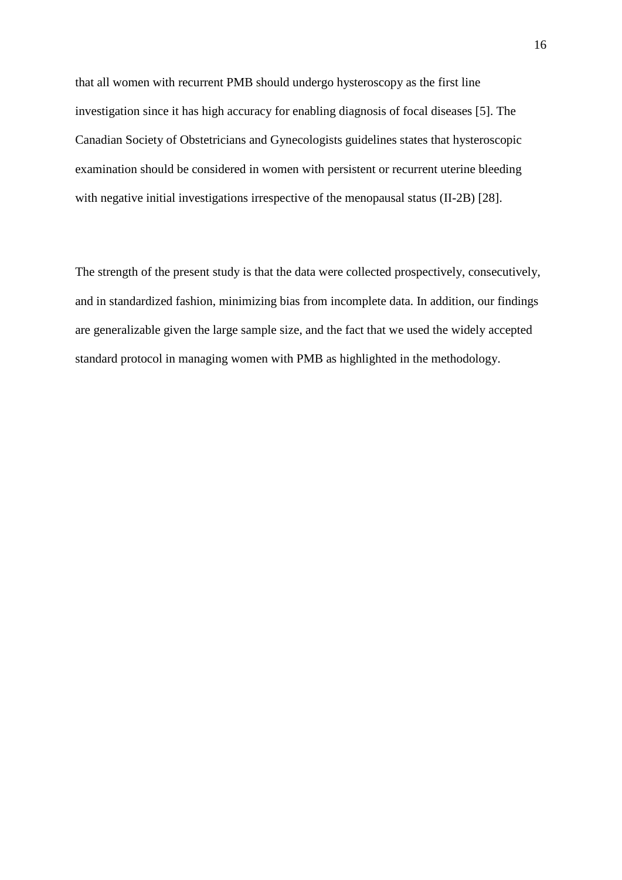that all women with recurrent PMB should undergo hysteroscopy as the first line investigation since it has high accuracy for enabling diagnosis of focal diseases [\[5\]](#page-21-4). The Canadian Society of Obstetricians and Gynecologists guidelines states that hysteroscopic examination should be considered in women with persistent or recurrent uterine bleeding with negative initial investigations irrespective of the menopausal status (II-2B) [\[28\]](#page-24-6).

The strength of the present study is that the data were collected prospectively, consecutively, and in standardized fashion, minimizing bias from incomplete data. In addition, our findings are generalizable given the large sample size, and the fact that we used the widely accepted standard protocol in managing women with PMB as highlighted in the methodology.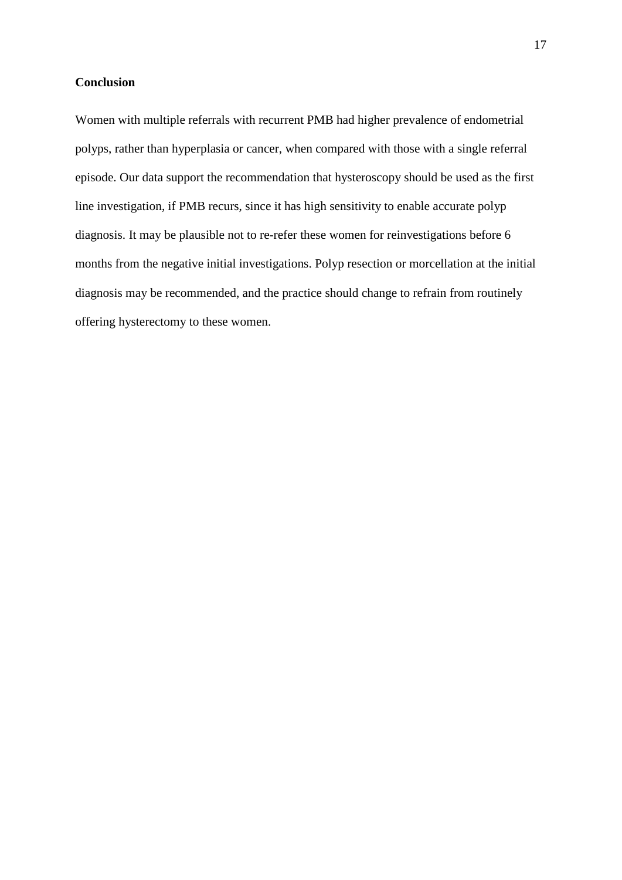## **Conclusion**

Women with multiple referrals with recurrent PMB had higher prevalence of endometrial polyps, rather than hyperplasia or cancer, when compared with those with a single referral episode. Our data support the recommendation that hysteroscopy should be used as the first line investigation, if PMB recurs, since it has high sensitivity to enable accurate polyp diagnosis. It may be plausible not to re-refer these women for reinvestigations before 6 months from the negative initial investigations. Polyp resection or morcellation at the initial diagnosis may be recommended, and the practice should change to refrain from routinely offering hysterectomy to these women.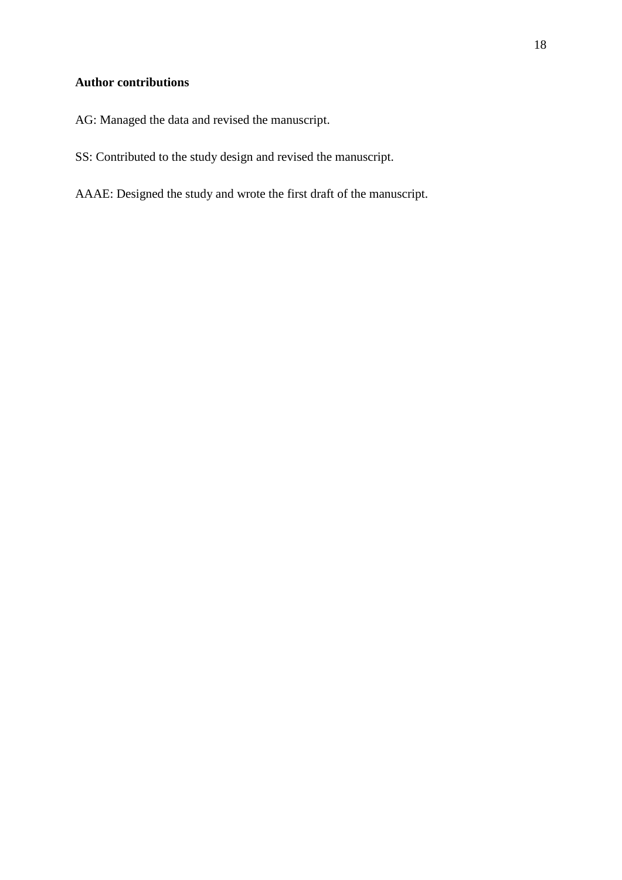## **Author contributions**

- AG: Managed the data and revised the manuscript.
- SS: Contributed to the study design and revised the manuscript.
- AAAE: Designed the study and wrote the first draft of the manuscript.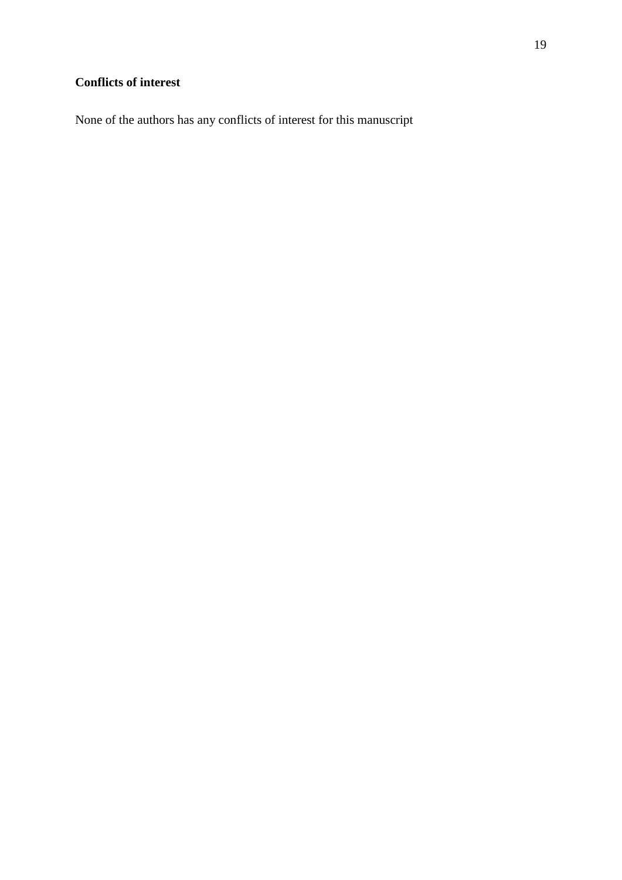## **Conflicts of interest**

None of the authors has any conflicts of interest for this manuscript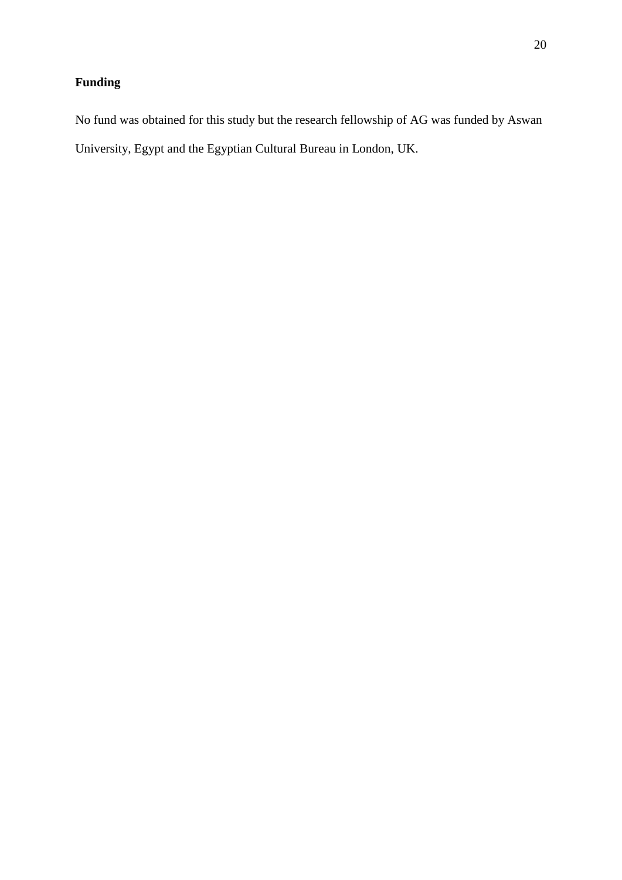## **Funding**

No fund was obtained for this study but the research fellowship of AG was funded by Aswan University, Egypt and the Egyptian Cultural Bureau in London, UK.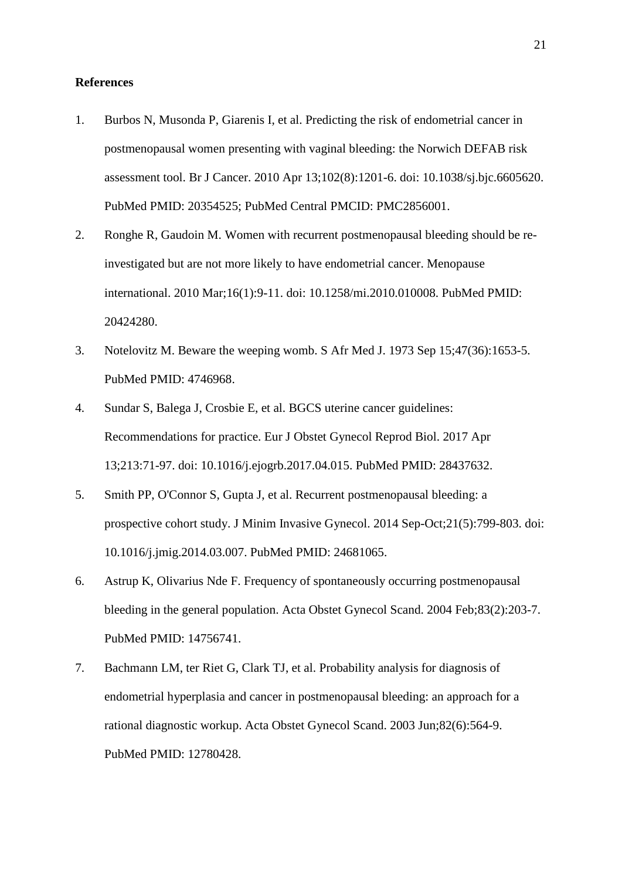### **References**

- <span id="page-21-0"></span>1. Burbos N, Musonda P, Giarenis I, et al. Predicting the risk of endometrial cancer in postmenopausal women presenting with vaginal bleeding: the Norwich DEFAB risk assessment tool. Br J Cancer. 2010 Apr 13;102(8):1201-6. doi: 10.1038/sj.bjc.6605620. PubMed PMID: 20354525; PubMed Central PMCID: PMC2856001.
- <span id="page-21-1"></span>2. Ronghe R, Gaudoin M. Women with recurrent postmenopausal bleeding should be reinvestigated but are not more likely to have endometrial cancer. Menopause international. 2010 Mar;16(1):9-11. doi: 10.1258/mi.2010.010008. PubMed PMID: 20424280.
- <span id="page-21-2"></span>3. Notelovitz M. Beware the weeping womb. S Afr Med J. 1973 Sep 15;47(36):1653-5. PubMed PMID: 4746968.
- <span id="page-21-3"></span>4. Sundar S, Balega J, Crosbie E, et al. BGCS uterine cancer guidelines: Recommendations for practice. Eur J Obstet Gynecol Reprod Biol. 2017 Apr 13;213:71-97. doi: 10.1016/j.ejogrb.2017.04.015. PubMed PMID: 28437632.
- <span id="page-21-4"></span>5. Smith PP, O'Connor S, Gupta J, et al. Recurrent postmenopausal bleeding: a prospective cohort study. J Minim Invasive Gynecol. 2014 Sep-Oct;21(5):799-803. doi: 10.1016/j.jmig.2014.03.007. PubMed PMID: 24681065.
- <span id="page-21-5"></span>6. Astrup K, Olivarius Nde F. Frequency of spontaneously occurring postmenopausal bleeding in the general population. Acta Obstet Gynecol Scand. 2004 Feb;83(2):203-7. PubMed PMID: 14756741.
- <span id="page-21-6"></span>7. Bachmann LM, ter Riet G, Clark TJ, et al. Probability analysis for diagnosis of endometrial hyperplasia and cancer in postmenopausal bleeding: an approach for a rational diagnostic workup. Acta Obstet Gynecol Scand. 2003 Jun;82(6):564-9. PubMed PMID: 12780428.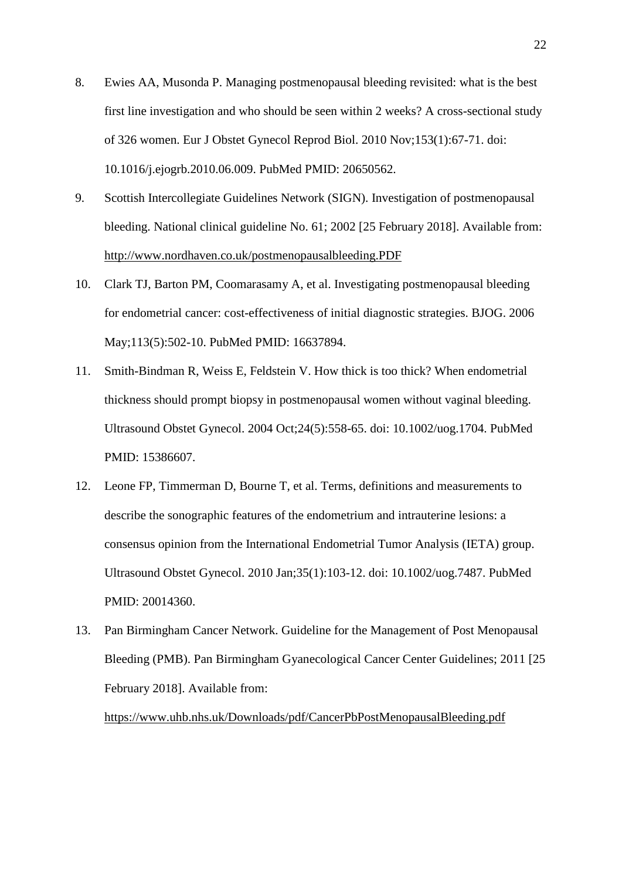- <span id="page-22-0"></span>8. Ewies AA, Musonda P. Managing postmenopausal bleeding revisited: what is the best first line investigation and who should be seen within 2 weeks? A cross-sectional study of 326 women. Eur J Obstet Gynecol Reprod Biol. 2010 Nov;153(1):67-71. doi: 10.1016/j.ejogrb.2010.06.009. PubMed PMID: 20650562.
- <span id="page-22-1"></span>9. Scottish Intercollegiate Guidelines Network (SIGN). Investigation of postmenopausal bleeding. National clinical guideline No. 61; 2002 [25 February 2018]. Available from: <http://www.nordhaven.co.uk/postmenopausalbleeding.PDF>
- <span id="page-22-2"></span>10. Clark TJ, Barton PM, Coomarasamy A, et al. Investigating postmenopausal bleeding for endometrial cancer: cost-effectiveness of initial diagnostic strategies. BJOG. 2006 May;113(5):502-10. PubMed PMID: 16637894.
- <span id="page-22-3"></span>11. Smith-Bindman R, Weiss E, Feldstein V. How thick is too thick? When endometrial thickness should prompt biopsy in postmenopausal women without vaginal bleeding. Ultrasound Obstet Gynecol. 2004 Oct;24(5):558-65. doi: 10.1002/uog.1704. PubMed PMID: 15386607.
- <span id="page-22-4"></span>12. Leone FP, Timmerman D, Bourne T, et al. Terms, definitions and measurements to describe the sonographic features of the endometrium and intrauterine lesions: a consensus opinion from the International Endometrial Tumor Analysis (IETA) group. Ultrasound Obstet Gynecol. 2010 Jan;35(1):103-12. doi: 10.1002/uog.7487. PubMed PMID: 20014360.
- <span id="page-22-5"></span>13. Pan Birmingham Cancer Network. Guideline for the Management of Post Menopausal Bleeding (PMB). Pan Birmingham Gyanecological Cancer Center Guidelines; 2011 [25 February 2018]. Available from:

<https://www.uhb.nhs.uk/Downloads/pdf/CancerPbPostMenopausalBleeding.pdf>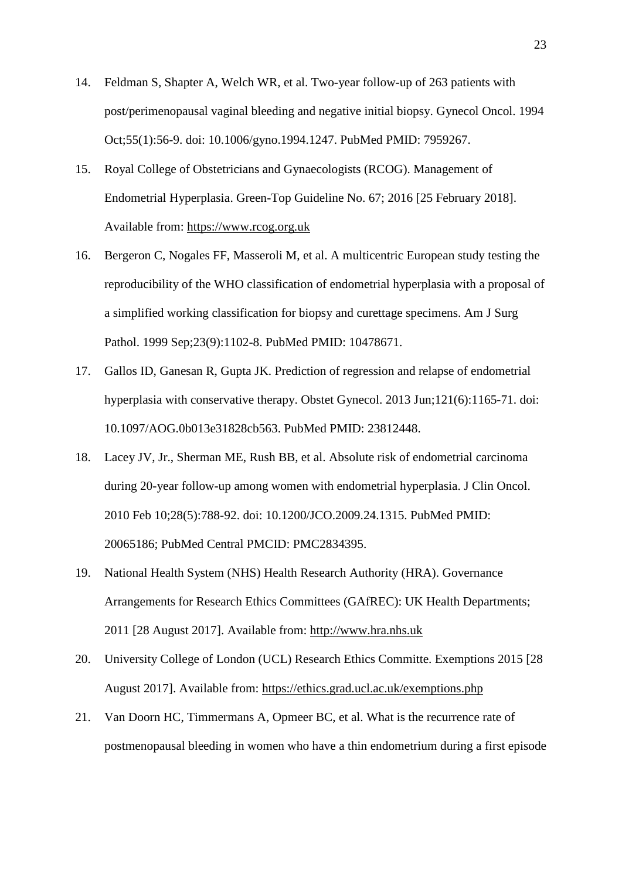- <span id="page-23-0"></span>14. Feldman S, Shapter A, Welch WR, et al. Two-year follow-up of 263 patients with post/perimenopausal vaginal bleeding and negative initial biopsy. Gynecol Oncol. 1994 Oct;55(1):56-9. doi: 10.1006/gyno.1994.1247. PubMed PMID: 7959267.
- <span id="page-23-1"></span>15. Royal College of Obstetricians and Gynaecologists (RCOG). Management of Endometrial Hyperplasia. Green-Top Guideline No. 67; 2016 [25 February 2018]. Available from: [https://www.rcog.org.uk](https://www.rcog.org.uk/)
- <span id="page-23-2"></span>16. Bergeron C, Nogales FF, Masseroli M, et al. A multicentric European study testing the reproducibility of the WHO classification of endometrial hyperplasia with a proposal of a simplified working classification for biopsy and curettage specimens. Am J Surg Pathol. 1999 Sep;23(9):1102-8. PubMed PMID: 10478671.
- <span id="page-23-3"></span>17. Gallos ID, Ganesan R, Gupta JK. Prediction of regression and relapse of endometrial hyperplasia with conservative therapy. Obstet Gynecol. 2013 Jun;121(6):1165-71. doi: 10.1097/AOG.0b013e31828cb563. PubMed PMID: 23812448.
- <span id="page-23-4"></span>18. Lacey JV, Jr., Sherman ME, Rush BB, et al. Absolute risk of endometrial carcinoma during 20-year follow-up among women with endometrial hyperplasia. J Clin Oncol. 2010 Feb 10;28(5):788-92. doi: 10.1200/JCO.2009.24.1315. PubMed PMID: 20065186; PubMed Central PMCID: PMC2834395.
- <span id="page-23-5"></span>19. National Health System (NHS) Health Research Authority (HRA). Governance Arrangements for Research Ethics Committees (GAfREC): UK Health Departments; 2011 [28 August 2017]. Available from: [http://www.hra.nhs.uk](http://www.hra.nhs.uk/)
- <span id="page-23-6"></span>20. University College of London (UCL) Research Ethics Committe. Exemptions 2015 [28 August 2017]. Available from:<https://ethics.grad.ucl.ac.uk/exemptions.php>
- <span id="page-23-7"></span>21. Van Doorn HC, Timmermans A, Opmeer BC, et al. What is the recurrence rate of postmenopausal bleeding in women who have a thin endometrium during a first episode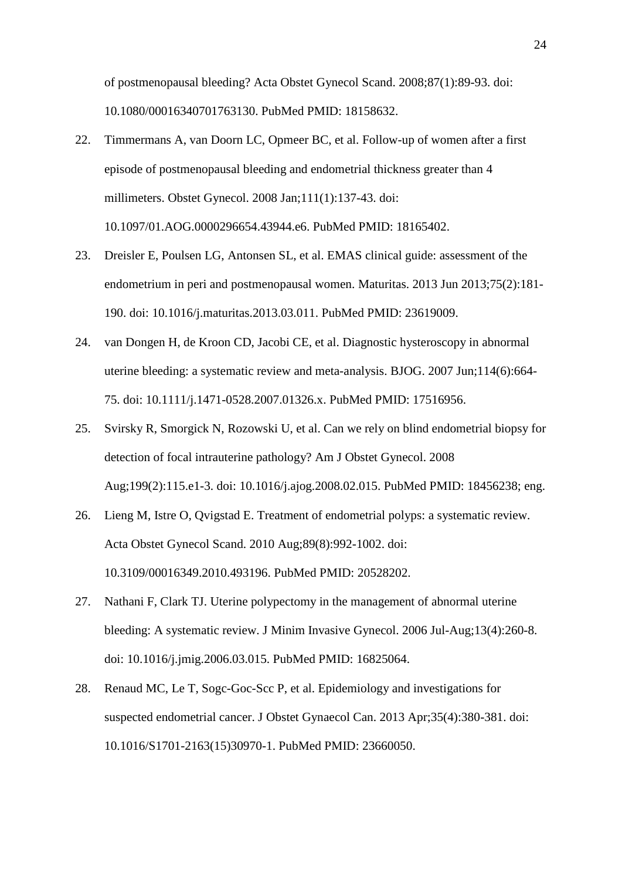of postmenopausal bleeding? Acta Obstet Gynecol Scand. 2008;87(1):89-93. doi: 10.1080/00016340701763130. PubMed PMID: 18158632.

- <span id="page-24-0"></span>22. Timmermans A, van Doorn LC, Opmeer BC, et al. Follow-up of women after a first episode of postmenopausal bleeding and endometrial thickness greater than 4 millimeters. Obstet Gynecol. 2008 Jan;111(1):137-43. doi: 10.1097/01.AOG.0000296654.43944.e6. PubMed PMID: 18165402.
- <span id="page-24-1"></span>23. Dreisler E, Poulsen LG, Antonsen SL, et al. EMAS clinical guide: assessment of the endometrium in peri and postmenopausal women. Maturitas. 2013 Jun 2013;75(2):181- 190. doi: 10.1016/j.maturitas.2013.03.011. PubMed PMID: 23619009.
- <span id="page-24-2"></span>24. van Dongen H, de Kroon CD, Jacobi CE, et al. Diagnostic hysteroscopy in abnormal uterine bleeding: a systematic review and meta-analysis. BJOG. 2007 Jun;114(6):664- 75. doi: 10.1111/j.1471-0528.2007.01326.x. PubMed PMID: 17516956.
- <span id="page-24-3"></span>25. Svirsky R, Smorgick N, Rozowski U, et al. Can we rely on blind endometrial biopsy for detection of focal intrauterine pathology? Am J Obstet Gynecol. 2008 Aug;199(2):115.e1-3. doi: 10.1016/j.ajog.2008.02.015. PubMed PMID: 18456238; eng.
- <span id="page-24-4"></span>26. Lieng M, Istre O, Qvigstad E. Treatment of endometrial polyps: a systematic review. Acta Obstet Gynecol Scand. 2010 Aug;89(8):992-1002. doi: 10.3109/00016349.2010.493196. PubMed PMID: 20528202.
- <span id="page-24-5"></span>27. Nathani F, Clark TJ. Uterine polypectomy in the management of abnormal uterine bleeding: A systematic review. J Minim Invasive Gynecol. 2006 Jul-Aug;13(4):260-8. doi: 10.1016/j.jmig.2006.03.015. PubMed PMID: 16825064.
- <span id="page-24-6"></span>28. Renaud MC, Le T, Sogc-Goc-Scc P, et al. Epidemiology and investigations for suspected endometrial cancer. J Obstet Gynaecol Can. 2013 Apr;35(4):380-381. doi: 10.1016/S1701-2163(15)30970-1. PubMed PMID: 23660050.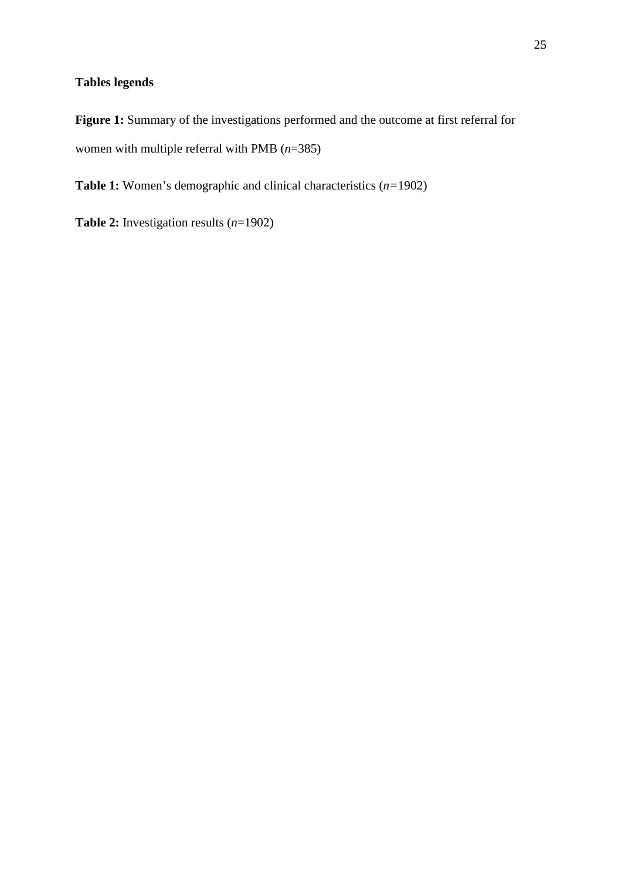## **Tables legends**

Figure 1: Summary of the investigations performed and the outcome at first referral for women with multiple referral with PMB (*n*=385)

**Table 1:** Women's demographic and clinical characteristics (*n=*1902)

**Table 2:** Investigation results (*n*=1902)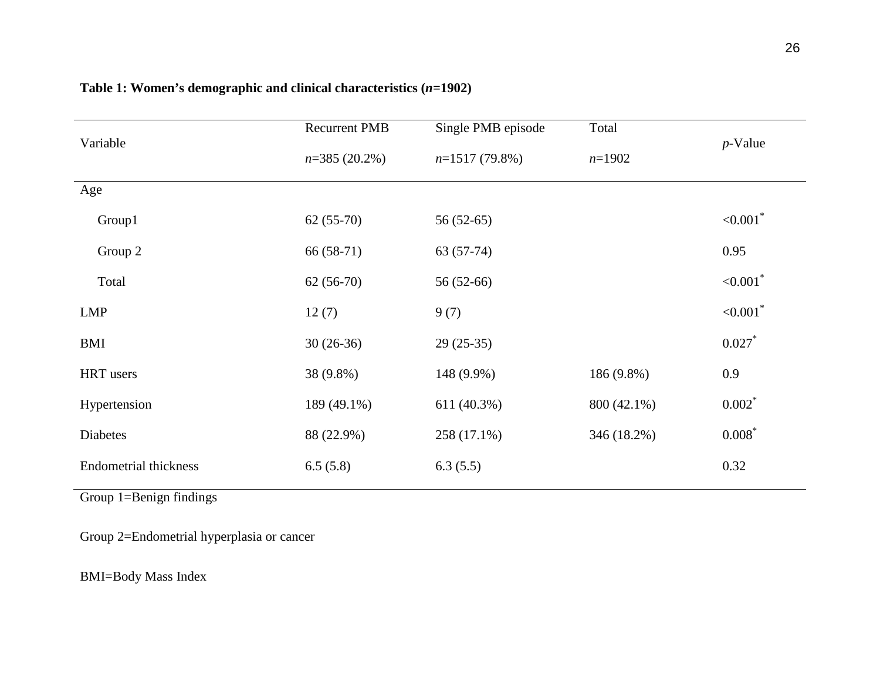| Variable                     | <b>Recurrent PMB</b> | Single PMB episode | Total       |                         |
|------------------------------|----------------------|--------------------|-------------|-------------------------|
|                              | $n=385(20.2\%)$      | $n=1517(79.8\%)$   | $n=1902$    | $p$ -Value              |
| Age                          |                      |                    |             |                         |
| Group1                       | $62(55-70)$          | $56(52-65)$        |             | ${<}0.001$ <sup>*</sup> |
| Group 2                      | $66(58-71)$          | $63(57-74)$        |             | 0.95                    |
| Total                        | $62(56-70)$          | 56 (52-66)         |             | ${<}0.001$ <sup>*</sup> |
| LMP                          | 12(7)                | 9(7)               |             | ${<}0.001$ <sup>*</sup> |
| BMI                          | $30(26-36)$          | $29(25-35)$        |             | $0.027*$                |
| HRT users                    | 38 (9.8%)            | 148 (9.9%)         | 186 (9.8%)  | 0.9                     |
| Hypertension                 | 189 (49.1%)          | 611 (40.3%)        | 800 (42.1%) | $0.002$ *               |
| Diabetes                     | 88 (22.9%)           | 258 (17.1%)        | 346 (18.2%) | $0.008*$                |
| <b>Endometrial thickness</b> | 6.5(5.8)             | 6.3(5.5)           |             | 0.32                    |

## **Table 1: Women's demographic and clinical characteristics (***n=***1902)**

Group 1=Benign findings

Group 2=Endometrial hyperplasia or cancer

BMI=Body Mass Index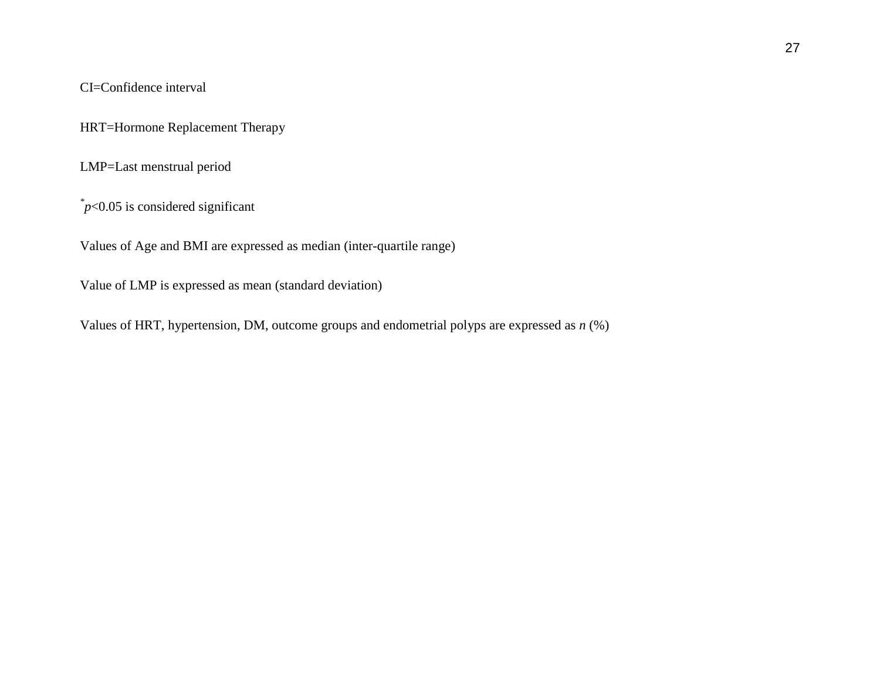CI=Confidence interval

HRT=Hormone Replacement Therapy

LMP=Last menstrual period

*\* p*<0.05 is considered significant

Values of Age and BMI are expressed as median (inter-quartile range)

Value of LMP is expressed as mean (standard deviation)

Values of HRT, hypertension, DM, outcome groups and endometrial polyps are expressed as *n* (%)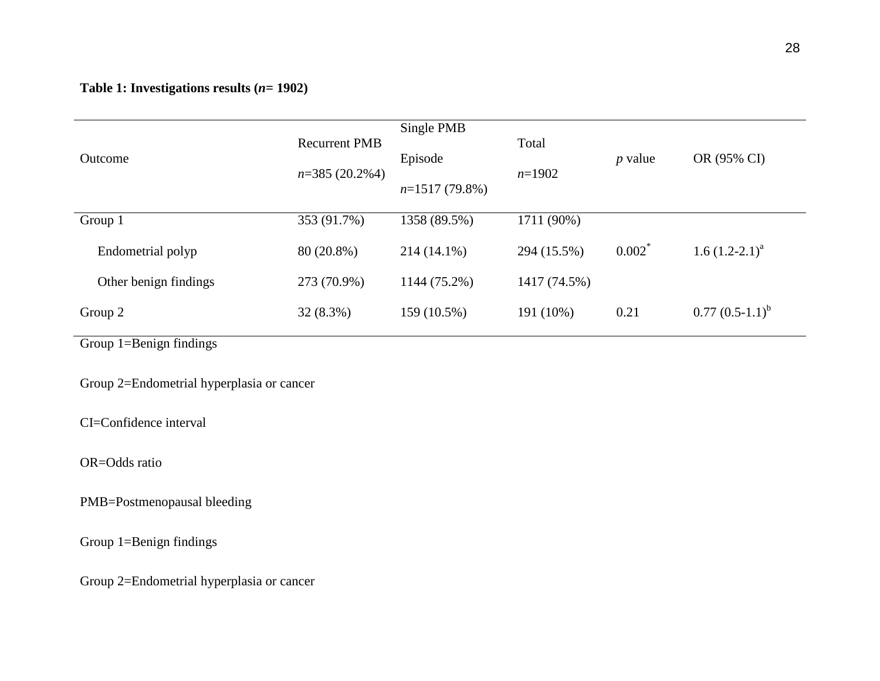## **Table 1: Investigations results (***n***= 1902)**

| Outcome               | <b>Recurrent PMB</b><br>$n=385(20.2%4)$ | Single PMB<br>Episode<br>$n=1517(79.8\%)$ | Total<br>$n=1902$ | $p$ value | OR (95% CI)        |
|-----------------------|-----------------------------------------|-------------------------------------------|-------------------|-----------|--------------------|
| Group 1               | 353 (91.7%)                             | 1358 (89.5%)                              | 1711 (90%)        |           |                    |
| Endometrial polyp     | 80 (20.8%)                              | 214 (14.1%)                               | 294 (15.5%)       | $0.002^*$ | 1.6 $(1.2-2.1)^a$  |
| Other benign findings | 273 (70.9%)                             | 1144 (75.2%)                              | 1417 (74.5%)      |           |                    |
| Group 2               | 32 (8.3%)                               | 159 (10.5%)                               | 191 (10%)         | 0.21      | $0.77 (0.5-1.1)^b$ |

Group 1=Benign findings

Group 2=Endometrial hyperplasia or cancer

CI=Confidence interval

OR=Odds ratio

PMB=Postmenopausal bleeding

Group 1=Benign findings

Group 2=Endometrial hyperplasia or cancer